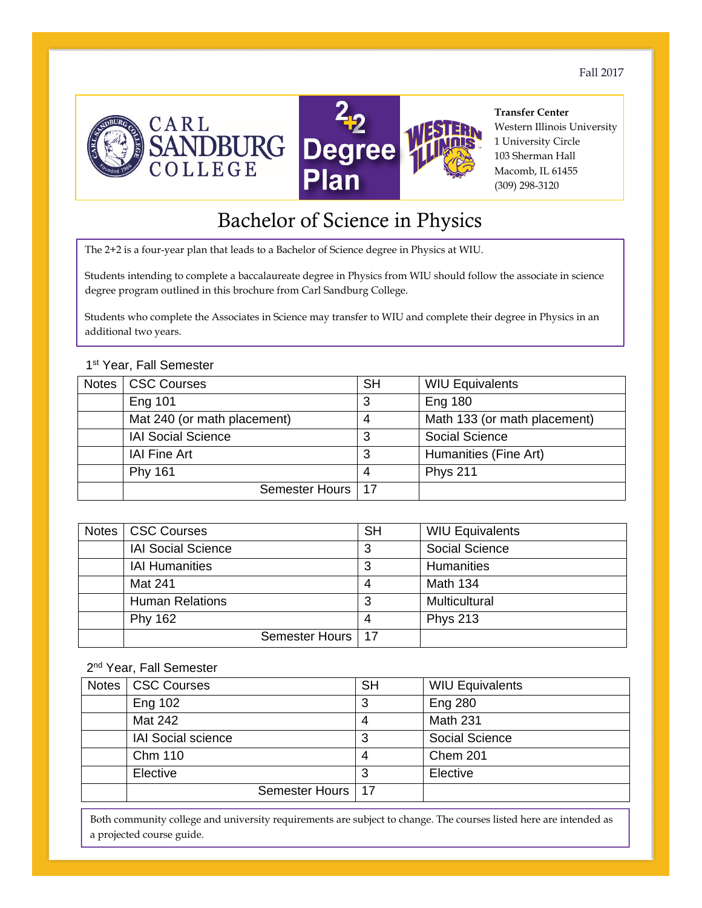Fall 2017





**Transfer Center**  Western Illinois University 1 University Circle 103 Sherman Hall Macomb, IL 61455 (309) 298-3120

# Bachelor of Science in Physics

The 2+2 is a four-year plan that leads to a Bachelor of Science degree in Physics at WIU.

Students intending to complete a baccalaureate degree in Physics from WIU should follow the associate in science degree program outlined in this brochure from Carl Sandburg College.

Students who complete the Associates in Science may transfer to WIU and complete their degree in Physics in an additional two years.

#### 1st Year, Fall Semester

| Notes | CSC Courses                 | <b>SH</b> | <b>WIU Equivalents</b>       |
|-------|-----------------------------|-----------|------------------------------|
|       | <b>Eng 101</b>              | 3         | <b>Eng 180</b>               |
|       | Mat 240 (or math placement) | 4         | Math 133 (or math placement) |
|       | <b>IAI Social Science</b>   | 3         | <b>Social Science</b>        |
|       | <b>IAI Fine Art</b>         | 3         | Humanities (Fine Art)        |
|       | <b>Phy 161</b>              | 4         | <b>Phys 211</b>              |
|       | Semester Hours              | l 17      |                              |

| Notes | <b>CSC Courses</b>        | <b>SH</b> | <b>WIU Equivalents</b> |
|-------|---------------------------|-----------|------------------------|
|       | <b>IAI Social Science</b> |           | <b>Social Science</b>  |
|       | <b>IAI Humanities</b>     | 3         | <b>Humanities</b>      |
|       | Mat 241                   |           | Math 134               |
|       | <b>Human Relations</b>    |           | Multicultural          |
|       | <b>Phy 162</b>            |           | <b>Phys 213</b>        |
|       | Semester Hours   17       |           |                        |

#### 2<sup>nd</sup> Year, Fall Semester

| Notes | <b>CSC Courses</b>        | <b>SH</b> | <b>WIU Equivalents</b> |
|-------|---------------------------|-----------|------------------------|
|       | Eng 102                   | 3         | <b>Eng 280</b>         |
|       | Mat 242                   |           | Math 231               |
|       | <b>IAI Social science</b> | 3         | Social Science         |
|       | <b>Chm 110</b>            | 4         | Chem 201               |
|       | Elective                  | 3         | Elective               |
|       | Semester Hours            | . 17      |                        |

Both community college and university requirements are subject to change. The courses listed here are intended as a projected course guide.